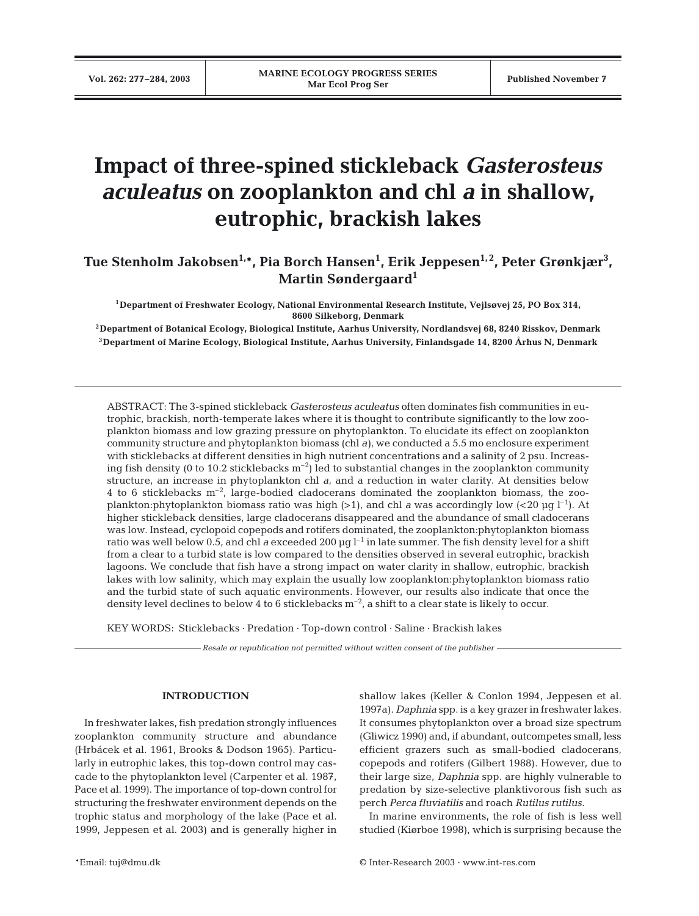# **Impact of three-spined stickleback** *Gasterosteus aculeatus* **on zooplankton and chl** *a* **in shallow, eutrophic, brackish lakes**

Tue Stenholm Jakobsen<sup>1,</sup>\*, Pia Borch Hansen<sup>1</sup>, Erik Jeppesen<sup>1,2</sup>, Peter Grønkjær<sup>3</sup>, **Martin Søndergaard1**

**1Department of Freshwater Ecology, National Environmental Research Institute, Vejlsøvej 25, PO Box 314, 8600 Silkeborg, Denmark**

**2Department of Botanical Ecology, Biological Institute, Aarhus University, Nordlandsvej 68, 8240 Risskov, Denmark 3Department of Marine Ecology, Biological Institute, Aarhus University, Finlandsgade 14, 8200 Århus N, Denmark**

ABSTRACT: The 3-spined stickleback *Gasterosteus aculeatus* often dominates fish communities in eutrophic, brackish, north-temperate lakes where it is thought to contribute significantly to the low zooplankton biomass and low grazing pressure on phytoplankton. To elucidate its effect on zooplankton community structure and phytoplankton biomass (chl *a)*, we conducted a 5.5 mo enclosure experiment with sticklebacks at different densities in high nutrient concentrations and a salinity of 2 psu. Increasing fish density (0 to 10.2 sticklebacks  $m^{-2}$ ) led to substantial changes in the zooplankton community structure, an increase in phytoplankton chl *a*, and a reduction in water clarity. At densities below 4 to 6 sticklebacks  $m<sup>-2</sup>$ , large-bodied cladocerans dominated the zooplankton biomass, the zooplankton:phytoplankton biomass ratio was high (>1), and chl *a* was accordingly low (<20  $\mu$ g l<sup>-1</sup>). At higher stickleback densities, large cladocerans disappeared and the abundance of small cladocerans was low. Instead, cyclopoid copepods and rotifers dominated, the zooplankton:phytoplankton biomass ratio was well below 0.5, and chl *a* exceeded 200  $\mu q l^{-1}$  in late summer. The fish density level for a shift from a clear to a turbid state is low compared to the densities observed in several eutrophic, brackish lagoons. We conclude that fish have a strong impact on water clarity in shallow, eutrophic, brackish lakes with low salinity, which may explain the usually low zooplankton:phytoplankton biomass ratio and the turbid state of such aquatic environments. However, our results also indicate that once the density level declines to below 4 to 6 sticklebacks  $m<sup>-2</sup>$ , a shift to a clear state is likely to occur.

KEY WORDS: Sticklebacks · Predation · Top-down control · Saline · Brackish lakes

*Resale or republication not permitted without written consent of the publisher*

#### **INTRODUCTION**

In freshwater lakes, fish predation strongly influences zooplankton community structure and abundance (Hrbácek et al. 1961, Brooks & Dodson 1965). Particularly in eutrophic lakes, this top-down control may cascade to the phytoplankton level (Carpenter et al. 1987, Pace et al. 1999). The importance of top-down control for structuring the freshwater environment depends on the trophic status and morphology of the lake (Pace et al. 1999, Jeppesen et al. 2003) and is generally higher in

shallow lakes (Keller & Conlon 1994, Jeppesen et al. 1997a). *Daphnia* spp. is a key grazer in freshwater lakes. It consumes phytoplankton over a broad size spectrum (Gliwicz 1990) and, if abundant, outcompetes small, less efficient grazers such as small-bodied cladocerans, copepods and rotifers (Gilbert 1988). However, due to their large size, *Daphnia* spp. are highly vulnerable to predation by size-selective planktivorous fish such as perch *Perca fluviatilis* and roach *Rutilus rutilus*.

In marine environments, the role of fish is less well studied (Kiørboe 1998), which is surprising because the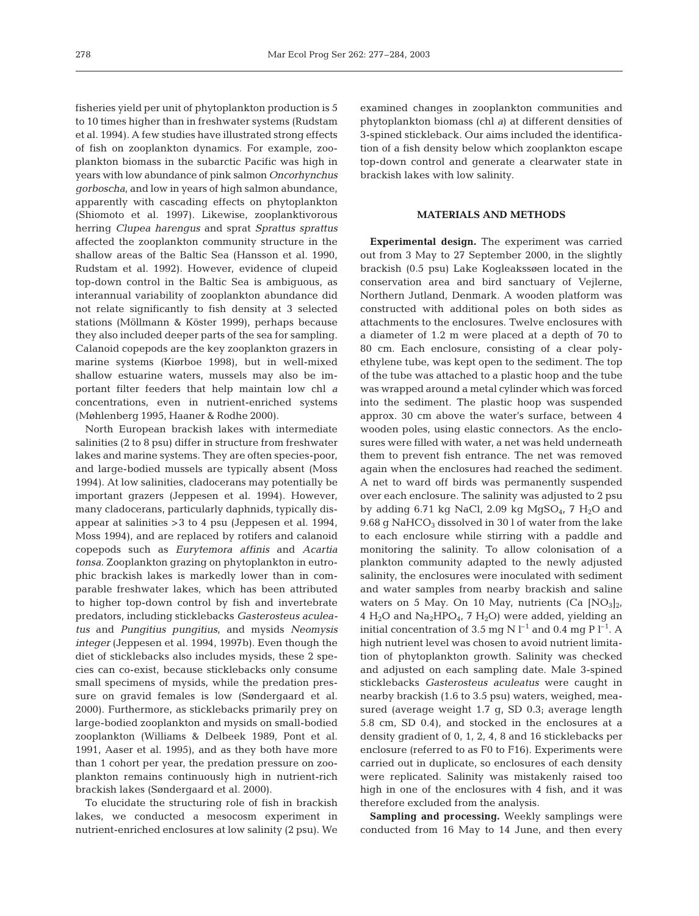fisheries yield per unit of phytoplankton production is 5 to 10 times higher than in freshwater systems (Rudstam et al. 1994). A few studies have illustrated strong effects of fish on zooplankton dynamics. For example, zooplankton biomass in the subarctic Pacific was high in years with low abundance of pink salmon *Oncorhynchus gorboscha*, and low in years of high salmon abundance, apparently with cascading effects on phytoplankton (Shiomoto et al. 1997). Likewise, zooplanktivorous herring *Clupea harengus* and sprat *Sprattus sprattus* affected the zooplankton community structure in the shallow areas of the Baltic Sea (Hansson et al. 1990, Rudstam et al. 1992). However, evidence of clupeid top-down control in the Baltic Sea is ambiguous, as interannual variability of zooplankton abundance did not relate significantly to fish density at 3 selected stations (Möllmann & Köster 1999), perhaps because they also included deeper parts of the sea for sampling. Calanoid copepods are the key zooplankton grazers in marine systems (Kiørboe 1998), but in well-mixed shallow estuarine waters, mussels may also be important filter feeders that help maintain low chl *a* concentrations, even in nutrient-enriched systems (Møhlenberg 1995, Haaner & Rodhe 2000).

North European brackish lakes with intermediate salinities (2 to 8 psu) differ in structure from freshwater lakes and marine systems. They are often species-poor, and large-bodied mussels are typically absent (Moss 1994). At low salinities, cladocerans may potentially be important grazers (Jeppesen et al. 1994). However, many cladocerans, particularly daphnids, typically disappear at salinities >3 to 4 psu (Jeppesen et al. 1994, Moss 1994), and are replaced by rotifers and calanoid copepods such as *Eurytemora affinis* and *Acartia tonsa*. Zooplankton grazing on phytoplankton in eutrophic brackish lakes is markedly lower than in comparable freshwater lakes, which has been attributed to higher top-down control by fish and invertebrate predators, including sticklebacks *Gasterosteus aculeatus* and *Pungitius pungitius*, and mysids *Neomysis integer* (Jeppesen et al. 1994, 1997b). Even though the diet of sticklebacks also includes mysids, these 2 species can co-exist, because sticklebacks only consume small specimens of mysids, while the predation pressure on gravid females is low (Søndergaard et al. 2000). Furthermore, as sticklebacks primarily prey on large-bodied zooplankton and mysids on small-bodied zooplankton (Williams & Delbeek 1989, Pont et al. 1991, Aaser et al. 1995), and as they both have more than 1 cohort per year, the predation pressure on zooplankton remains continuously high in nutrient-rich brackish lakes (Søndergaard et al. 2000).

To elucidate the structuring role of fish in brackish lakes, we conducted a mesocosm experiment in nutrient-enriched enclosures at low salinity (2 psu). We examined changes in zooplankton communities and phytoplankton biomass (chl *a*) at different densities of 3-spined stickleback. Our aims included the identification of a fish density below which zooplankton escape top-down control and generate a clearwater state in brackish lakes with low salinity.

# **MATERIALS AND METHODS**

**Experimental design.** The experiment was carried out from 3 May to 27 September 2000, in the slightly brackish (0.5 psu) Lake Kogleakssøen located in the conservation area and bird sanctuary of Vejlerne, Northern Jutland, Denmark. A wooden platform was constructed with additional poles on both sides as attachments to the enclosures. Twelve enclosures with a diameter of 1.2 m were placed at a depth of 70 to 80 cm. Each enclosure, consisting of a clear polyethylene tube, was kept open to the sediment. The top of the tube was attached to a plastic hoop and the tube was wrapped around a metal cylinder which was forced into the sediment. The plastic hoop was suspended approx. 30 cm above the water's surface, between 4 wooden poles, using elastic connectors. As the enclosures were filled with water, a net was held underneath them to prevent fish entrance. The net was removed again when the enclosures had reached the sediment. A net to ward off birds was permanently suspended over each enclosure. The salinity was adjusted to 2 psu by adding 6.71 kg NaCl, 2.09 kg  $MgSO<sub>4</sub>$ , 7 H<sub>2</sub>O and 9.68 g NaHCO<sub>3</sub> dissolved in 30 l of water from the lake to each enclosure while stirring with a paddle and monitoring the salinity. To allow colonisation of a plankton community adapted to the newly adjusted salinity, the enclosures were inoculated with sediment and water samples from nearby brackish and saline waters on 5 May. On 10 May, nutrients (Ca  $[NO<sub>3</sub>]_{2}$ , 4  $H_2O$  and  $Na_2HPO_4$ , 7  $H_2O$ ) were added, yielding an initial concentration of 3.5 mg N  $l^{-1}$  and 0.4 mg P  $l^{-1}$ . A high nutrient level was chosen to avoid nutrient limitation of phytoplankton growth. Salinity was checked and adjusted on each sampling date. Male 3-spined sticklebacks *Gasterosteus aculeatus* were caught in nearby brackish (1.6 to 3.5 psu) waters, weighed, measured (average weight 1.7 g, SD 0.3; average length 5.8 cm, SD 0.4), and stocked in the enclosures at a density gradient of 0, 1, 2, 4, 8 and 16 sticklebacks per enclosure (referred to as F0 to F16). Experiments were carried out in duplicate, so enclosures of each density were replicated. Salinity was mistakenly raised too high in one of the enclosures with 4 fish, and it was therefore excluded from the analysis.

**Sampling and processing.** Weekly samplings were conducted from 16 May to 14 June, and then every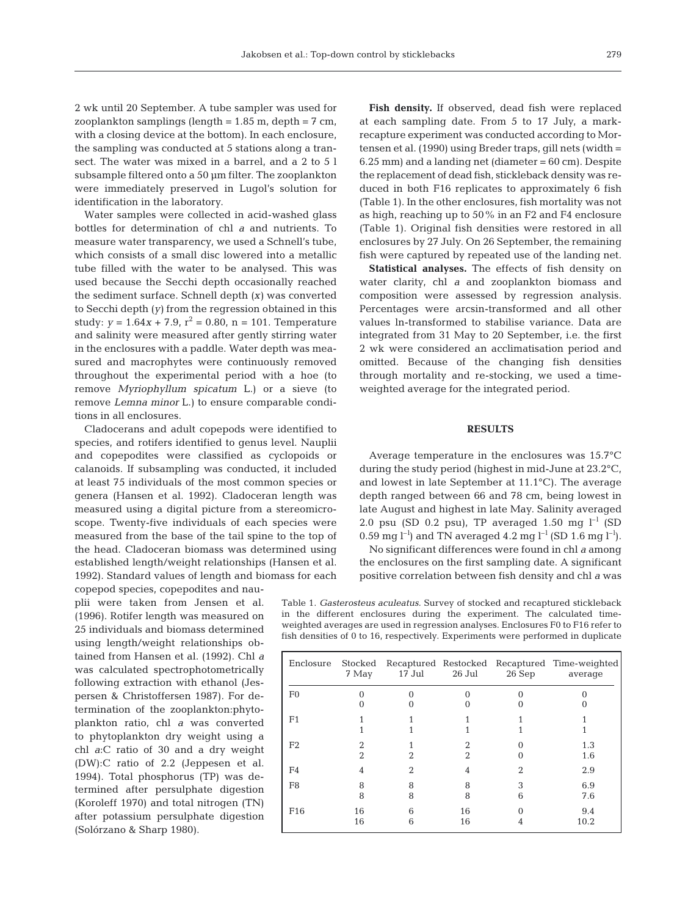2 wk until 20 September. A tube sampler was used for zooplankton samplings (length =  $1.85$  m, depth =  $7 \text{ cm}$ , with a closing device at the bottom). In each enclosure, the sampling was conducted at 5 stations along a transect. The water was mixed in a barrel, and a 2 to 5 l subsample filtered onto a 50 µm filter. The zooplankton were immediately preserved in Lugol's solution for identification in the laboratory.

Water samples were collected in acid-washed glass bottles for determination of chl *a* and nutrients. To measure water transparency, we used a Schnell's tube, which consists of a small disc lowered into a metallic tube filled with the water to be analysed. This was used because the Secchi depth occasionally reached the sediment surface. Schnell depth *(x)* was converted to Secchi depth *(y)* from the regression obtained in this study:  $y = 1.64x + 7.9$ ,  $r^2 = 0.80$ ,  $n = 101$ . Temperature and salinity were measured after gently stirring water in the enclosures with a paddle. Water depth was measured and macrophytes were continuously removed throughout the experimental period with a hoe (to remove *Myriophyllum spicatum* L.) or a sieve (to remove *Lemna minor* L.) to ensure comparable conditions in all enclosures.

Cladocerans and adult copepods were identified to species, and rotifers identified to genus level. Nauplii and copepodites were classified as cyclopoids or calanoids. If subsampling was conducted, it included at least 75 individuals of the most common species or genera (Hansen et al. 1992). Cladoceran length was measured using a digital picture from a stereomicroscope. Twenty-five individuals of each species were measured from the base of the tail spine to the top of the head. Cladoceran biomass was determined using established length/weight relationships (Hansen et al. 1992). Standard values of length and biomass for each

copepod species, copepodites and nauplii were taken from Jensen et al. (1996). Rotifer length was measured on 25 individuals and biomass determined using length/weight relationships obtained from Hansen et al. (1992). Chl *a* was calculated spectrophotometrically following extraction with ethanol (Jespersen & Christoffersen 1987). For determination of the zooplankton:phytoplankton ratio, chl *a* was converted to phytoplankton dry weight using a chl *a*:C ratio of 30 and a dry weight (DW):C ratio of 2.2 (Jeppesen et al. 1994). Total phosphorus (TP) was determined after persulphate digestion (Koroleff 1970) and total nitrogen (TN) after potassium persulphate digestion (Solórzano & Sharp 1980).

**Fish density.** If observed, dead fish were replaced at each sampling date. From 5 to 17 July, a markrecapture experiment was conducted according to Mortensen et al. (1990) using Breder traps, gill nets (width =  $6.25$  mm) and a landing net (diameter =  $60$  cm). Despite the replacement of dead fish, stickleback density was reduced in both F16 replicates to approximately 6 fish (Table 1). In the other enclosures, fish mortality was not as high, reaching up to 50% in an F2 and F4 enclosure (Table 1). Original fish densities were restored in all enclosures by 27 July. On 26 September, the remaining fish were captured by repeated use of the landing net.

**Statistical analyses.** The effects of fish density on water clarity, chl *a* and zooplankton biomass and composition were assessed by regression analysis. Percentages were arcsin-transformed and all other values ln-transformed to stabilise variance. Data are integrated from 31 May to 20 September, i.e. the first 2 wk were considered an acclimatisation period and omitted. Because of the changing fish densities through mortality and re-stocking, we used a timeweighted average for the integrated period.

## **RESULTS**

Average temperature in the enclosures was 15.7°C during the study period (highest in mid-June at 23.2°C, and lowest in late September at 11.1°C). The average depth ranged between 66 and 78 cm, being lowest in late August and highest in late May. Salinity averaged 2.0 psu (SD 0.2 psu), TP averaged 1.50 mg  $l^{-1}$  (SD 0.59 mg l<sup>-1</sup>) and TN averaged 4.2 mg l<sup>-1</sup> (SD 1.6 mg l<sup>-1</sup>).

No significant differences were found in chl *a* among the enclosures on the first sampling date. A significant positive correlation between fish density and chl *a* was

Table 1. *Gasterosteus aculeatus.* Survey of stocked and recaptured stickleback in the different enclosures during the experiment. The calculated timeweighted averages are used in regression analyses. Enclosures F0 to F16 refer to fish densities of 0 to 16, respectively. Experiments were performed in duplicate

| Enclosure       | 7 May    | 17 Jul         | 26 Jul   | 26 Sep | Stocked Recaptured Restocked Recaptured Time-weighted<br>average |
|-----------------|----------|----------------|----------|--------|------------------------------------------------------------------|
| F <sub>0</sub>  |          |                |          |        |                                                                  |
| F1              |          |                |          |        |                                                                  |
| F <sub>2</sub>  | 2        |                |          |        | 1.3<br>1.6                                                       |
| F4              |          | $\mathfrak{D}$ |          |        | 2.9                                                              |
| F <sub>8</sub>  | 8<br>8   | 8<br>8         | 8<br>8   | 3<br>6 | 6.9<br>7.6                                                       |
| F <sub>16</sub> | 16<br>16 | 6<br>6         | 16<br>16 |        | 9.4<br>10.2                                                      |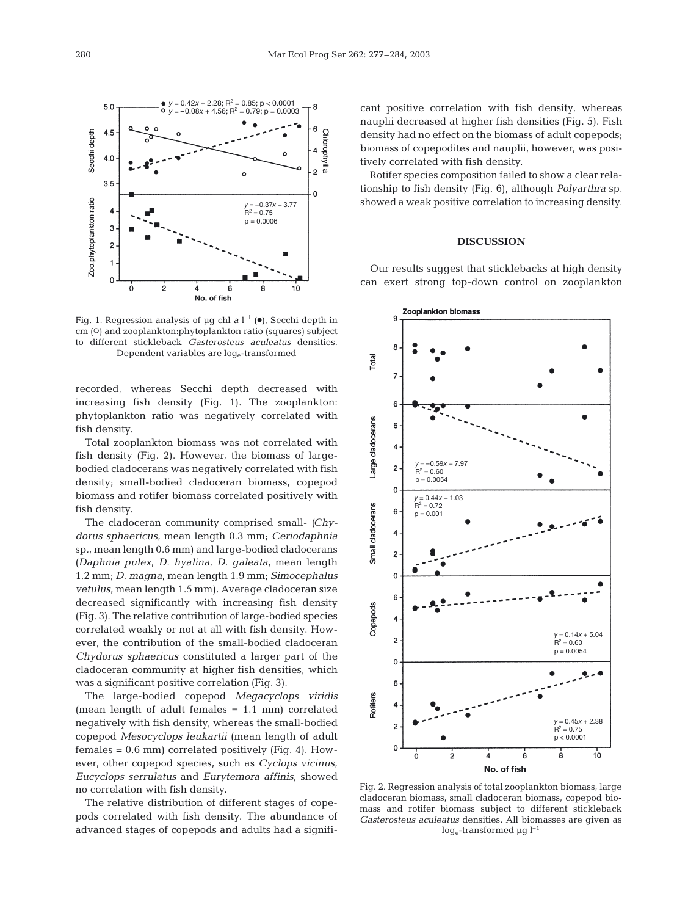

Fig. 1. Regression analysis of  $\mu$ g chl *a* l<sup>-1</sup> ( $\bullet$ ), Secchi depth in cm (O) and zooplankton:phytoplankton ratio (squares) subject to different stickleback *Gasterosteus aculeatus* densities. Dependent variables are  $log_e$ -transformed

recorded, whereas Secchi depth decreased with increasing fish density (Fig. 1). The zooplankton: phytoplankton ratio was negatively correlated with fish density.

Total zooplankton biomass was not correlated with fish density (Fig. 2). However, the biomass of largebodied cladocerans was negatively correlated with fish density; small-bodied cladoceran biomass, copepod biomass and rotifer biomass correlated positively with fish density.

The cladoceran community comprised small- *(Chydorus sphaericus*, mean length 0.3 mm; *Ceriodaphnia* sp*.,* mean length 0.6 mm) and large-bodied cladocerans *(Daphnia pulex*, *D. hyalina*, *D. galeata*, mean length 1.2 mm; *D. magna,* mean length 1.9 mm; *Simocephalus vetulus*, mean length 1.5 mm). Average cladoceran size decreased significantly with increasing fish density (Fig. 3). The relative contribution of large-bodied species correlated weakly or not at all with fish density. However, the contribution of the small-bodied cladoceran *Chydorus sphaericus* constituted a larger part of the cladoceran community at higher fish densities, which was a significant positive correlation (Fig. 3).

The large-bodied copepod *Megacyclops viridis* (mean length of adult females = 1.1 mm) correlated negatively with fish density, whereas the small-bodied copepod *Mesocyclops leukartii* (mean length of adult  $f$ emales =  $0.6$  mm) correlated positively (Fig. 4). However, other copepod species, such as *Cyclops vicinus*, *Eucyclops serrulatus* and *Eurytemora affinis*, showed no correlation with fish density.

The relative distribution of different stages of copepods correlated with fish density. The abundance of advanced stages of copepods and adults had a signifi-

cant positive correlation with fish density, whereas nauplii decreased at higher fish densities (Fig. 5). Fish density had no effect on the biomass of adult copepods; biomass of copepodites and nauplii, however, was positively correlated with fish density.

Rotifer species composition failed to show a clear relationship to fish density (Fig. 6), although *Polyarthra* sp. showed a weak positive correlation to increasing density.

#### **DISCUSSION**

Our results suggest that sticklebacks at high density can exert strong top-down control on zooplankton



Fig. 2. Regression analysis of total zooplankton biomass, large cladoceran biomass, small cladoceran biomass, copepod biomass and rotifer biomass subject to different stickleback *Gasterosteus aculeatus* densities. All biomasses are given as  $log_e$ -transformed µg  $l^{-1}$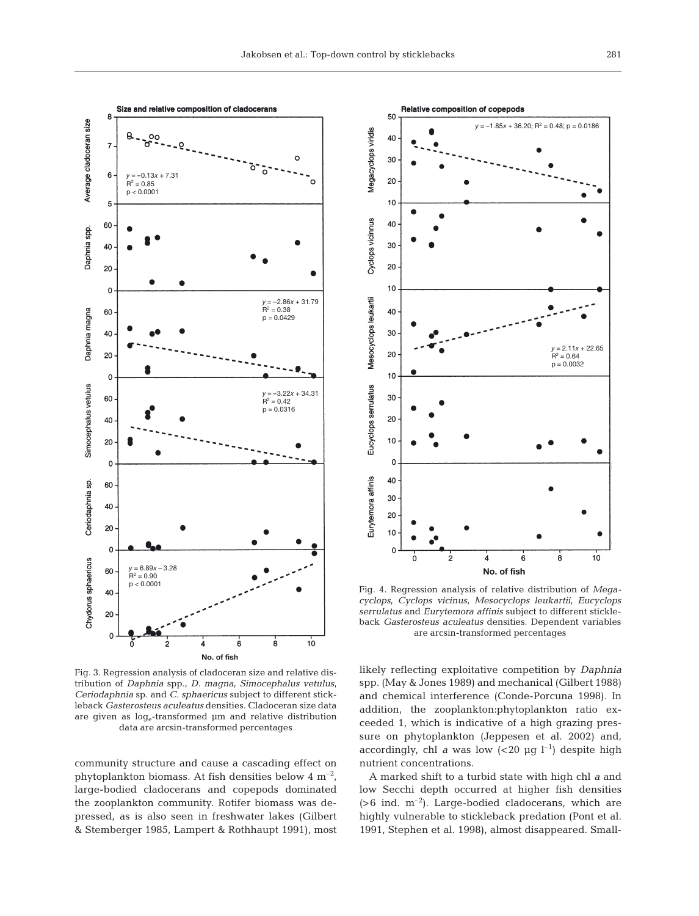

Fig. 3. Regression analysis of cladoceran size and relative distribution of *Daphnia* spp., *D. magna*, *Simocephalus vetulus*, *Ceriodaphnia* sp. and *C. sphaericus* subject to different stickleback *Gasterosteus aculeatus* densities. Cladoceran size data are given as loge-transformed µm and relative distribution data are arcsin-transformed percentages

community structure and cause a cascading effect on phytoplankton biomass. At fish densities below  $4 \text{ m}^{-2}$ , large-bodied cladocerans and copepods dominated the zooplankton community. Rotifer biomass was depressed, as is also seen in freshwater lakes (Gilbert & Stemberger 1985, Lampert & Rothhaupt 1991), most



Fig. 4. Regression analysis of relative distribution of *Megacyclops*, *Cyclops vicinus*, *Mesocyclops leukartii*, *Eucyclops serrulatus* and *Eurytemora affinis* subject to different stickleback *Gasterosteus aculeatus* densities. Dependent variables are arcsin-transformed percentages

likely reflecting exploitative competition by *Daphnia* spp. (May & Jones 1989) and mechanical (Gilbert 1988) and chemical interference (Conde-Porcuna 1998). In addition, the zooplankton:phytoplankton ratio exceeded 1, which is indicative of a high grazing pressure on phytoplankton (Jeppesen et al. 2002) and, accordingly, chl *a* was low  $(*20* \mu g l^{-1})$  despite high nutrient concentrations.

A marked shift to a turbid state with high chl *a* and low Secchi depth occurred at higher fish densities  $(>6$  ind. m<sup>-2</sup>). Large-bodied cladocerans, which are highly vulnerable to stickleback predation (Pont et al. 1991, Stephen et al. 1998), almost disappeared. Small-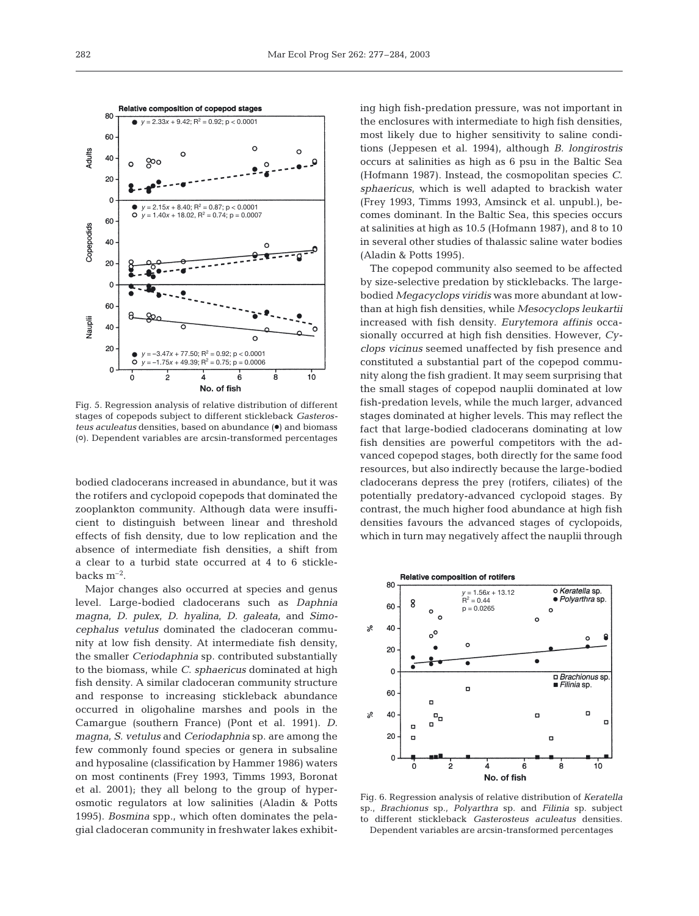

Fig. 5. Regression analysis of relative distribution of different stages of copepods subject to different stickleback *Gasterosteus aculeatus densities, based on abundance* ( $\bullet$ ) and biomass (S). Dependent variables are arcsin-transformed percentages

bodied cladocerans increased in abundance, but it was the rotifers and cyclopoid copepods that dominated the zooplankton community. Although data were insufficient to distinguish between linear and threshold effects of fish density, due to low replication and the absence of intermediate fish densities, a shift from a clear to a turbid state occurred at 4 to 6 sticklebacks  $m^{-2}$ .

Major changes also occurred at species and genus level. Large-bodied cladocerans such as *Daphnia magna, D. pulex*, *D. hyalina*, *D. galeata*, and *Simocephalus vetulus* dominated the cladoceran community at low fish density. At intermediate fish density, the smaller *Ceriodaphnia* sp. contributed substantially to the biomass, while *C. sphaericus* dominated at high fish density. A similar cladoceran community structure and response to increasing stickleback abundance occurred in oligohaline marshes and pools in the Camargue (southern France) (Pont et al. 1991). *D. magna, S. vetulus* and *Ceriodaphnia* sp. are among the few commonly found species or genera in subsaline and hyposaline (classification by Hammer 1986) waters on most continents (Frey 1993, Timms 1993, Boronat et al. 2001); they all belong to the group of hyperosmotic regulators at low salinities (Aladin & Potts 1995). *Bosmina* spp., which often dominates the pelagial cladoceran community in freshwater lakes exhibiting high fish-predation pressure, was not important in the enclosures with intermediate to high fish densities, most likely due to higher sensitivity to saline conditions (Jeppesen et al. 1994), although *B. longirostris* occurs at salinities as high as 6 psu in the Baltic Sea (Hofmann 1987). Instead, the cosmopolitan species *C. sphaericus*, which is well adapted to brackish water (Frey 1993, Timms 1993, Amsinck et al. unpubl.), becomes dominant. In the Baltic Sea, this species occurs at salinities at high as 10.5 (Hofmann 1987), and 8 to 10 in several other studies of thalassic saline water bodies (Aladin & Potts 1995).

The copepod community also seemed to be affected by size-selective predation by sticklebacks. The largebodied *Megacyclops viridis* was more abundant at lowthan at high fish densities, while *Mesocyclops leukartii* increased with fish density. *Eurytemora affinis* occasionally occurred at high fish densities. However, *Cyclops vicinus* seemed unaffected by fish presence and constituted a substantial part of the copepod community along the fish gradient. It may seem surprising that the small stages of copepod nauplii dominated at low fish-predation levels, while the much larger, advanced stages dominated at higher levels. This may reflect the fact that large-bodied cladocerans dominating at low fish densities are powerful competitors with the advanced copepod stages, both directly for the same food resources, but also indirectly because the large-bodied cladocerans depress the prey (rotifers, ciliates) of the potentially predatory-advanced cyclopoid stages. By contrast, the much higher food abundance at high fish densities favours the advanced stages of cyclopoids, which in turn may negatively affect the nauplii through



Fig. 6. Regression analysis of relative distribution of *Keratella* sp., *Brachionus* sp., *Polyarthra* sp. and *Filinia* sp. subject to different stickleback *Gasterosteus aculeatus* densities. Dependent variables are arcsin-transformed percentages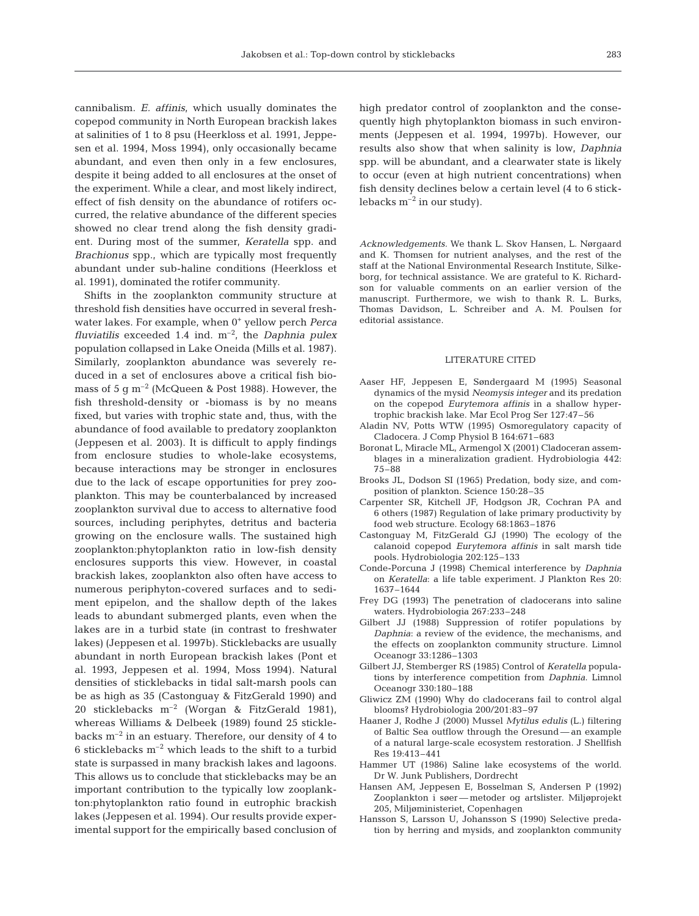cannibalism. *E. affinis*, which usually dominates the copepod community in North European brackish lakes at salinities of 1 to 8 psu (Heerkloss et al. 1991, Jeppesen et al. 1994, Moss 1994), only occasionally became abundant, and even then only in a few enclosures, despite it being added to all enclosures at the onset of the experiment. While a clear, and most likely indirect, effect of fish density on the abundance of rotifers occurred, the relative abundance of the different species showed no clear trend along the fish density gradient. During most of the summer, *Keratella* spp. and *Brachionus* spp., which are typically most frequently abundant under sub-haline conditions (Heerkloss et al. 1991), dominated the rotifer community.

Shifts in the zooplankton community structure at threshold fish densities have occurred in several freshwater lakes. For example, when 0+ yellow perch *Perca fluviatilis* exceeded 1.4 ind.  $m^{-2}$ , the *Daphnia pulex* population collapsed in Lake Oneida (Mills et al. 1987). Similarly, zooplankton abundance was severely reduced in a set of enclosures above a critical fish biomass of 5  $\sigma$  m<sup>-2</sup> (McQueen & Post 1988). However, the fish threshold-density or -biomass is by no means fixed, but varies with trophic state and, thus, with the abundance of food available to predatory zooplankton (Jeppesen et al. 2003). It is difficult to apply findings from enclosure studies to whole-lake ecosystems, because interactions may be stronger in enclosures due to the lack of escape opportunities for prey zooplankton. This may be counterbalanced by increased zooplankton survival due to access to alternative food sources, including periphytes, detritus and bacteria growing on the enclosure walls. The sustained high zooplankton:phytoplankton ratio in low-fish density enclosures supports this view. However, in coastal brackish lakes, zooplankton also often have access to numerous periphyton-covered surfaces and to sediment epipelon, and the shallow depth of the lakes leads to abundant submerged plants, even when the lakes are in a turbid state (in contrast to freshwater lakes) (Jeppesen et al. 1997b). Sticklebacks are usually abundant in north European brackish lakes (Pont et al. 1993, Jeppesen et al. 1994, Moss 1994). Natural densities of sticklebacks in tidal salt-marsh pools can be as high as 35 (Castonguay & FitzGerald 1990) and 20 sticklebacks m–2 (Worgan & FitzGerald 1981), whereas Williams & Delbeek (1989) found 25 sticklebacks  $m^{-2}$  in an estuary. Therefore, our density of 4 to 6 sticklebacks  $m^{-2}$  which leads to the shift to a turbid state is surpassed in many brackish lakes and lagoons. This allows us to conclude that sticklebacks may be an important contribution to the typically low zooplankton:phytoplankton ratio found in eutrophic brackish lakes (Jeppesen et al. 1994). Our results provide experimental support for the empirically based conclusion of

high predator control of zooplankton and the consequently high phytoplankton biomass in such environments (Jeppesen et al. 1994, 1997b). However, our results also show that when salinity is low, *Daphnia* spp. will be abundant, and a clearwater state is likely to occur (even at high nutrient concentrations) when fish density declines below a certain level (4 to 6 sticklebacks  $m^{-2}$  in our study).

*Acknowledgements.* We thank L. Skov Hansen, L. Nørgaard and K. Thomsen for nutrient analyses, and the rest of the staff at the National Environmental Research Institute, Silkeborg, for technical assistance. We are grateful to K. Richardson for valuable comments on an earlier version of the manuscript. Furthermore, we wish to thank R. L. Burks, Thomas Davidson, L. Schreiber and A. M. Poulsen for editorial assistance.

### LITERATURE CITED

- Aaser HF, Jeppesen E, Søndergaard M (1995) Seasonal dynamics of the mysid *Neomysis integer* and its predation on the copepod *Eurytemora affinis* in a shallow hypertrophic brackish lake. Mar Ecol Prog Ser 127:47–56
- Aladin NV, Potts WTW (1995) Osmoregulatory capacity of Cladocera. J Comp Physiol B 164:671–683
- Boronat L, Miracle ML, Armengol X (2001) Cladoceran assemblages in a mineralization gradient. Hydrobiologia 442: 75–88
- Brooks JL, Dodson SI (1965) Predation, body size, and composition of plankton. Science 150:28–35
- Carpenter SR, Kitchell JF, Hodgson JR, Cochran PA and 6 others (1987) Regulation of lake primary productivity by food web structure. Ecology 68:1863–1876
- Castonguay M, FitzGerald GJ (1990) The ecology of the calanoid copepod *Eurytemora affinis* in salt marsh tide pools. Hydrobiologia 202:125–133
- Conde-Porcuna J (1998) Chemical interference by *Daphnia* on *Keratella*: a life table experiment. J Plankton Res 20: 1637–1644
- Frey DG (1993) The penetration of cladocerans into saline waters. Hydrobiologia 267:233–248
- Gilbert JJ (1988) Suppression of rotifer populations by *Daphnia*: a review of the evidence, the mechanisms, and the effects on zooplankton community structure. Limnol Oceanogr 33:1286–1303
- Gilbert JJ, Stemberger RS (1985) Control of *Keratella* populations by interference competition from *Daphnia*. Limnol Oceanogr 330:180–188
- Gliwicz ZM (1990) Why do cladocerans fail to control algal blooms? Hydrobiologia 200/201:83–97
- Haaner J, Rodhe J (2000) Mussel *Mytilus edulis* (L.) filtering of Baltic Sea outflow through the Oresund — an example of a natural large-scale ecosystem restoration. J Shellfish Res 19:413–441
- Hammer UT (1986) Saline lake ecosystems of the world. Dr W. Junk Publishers, Dordrecht
- Hansen AM, Jeppesen E, Bosselman S, Andersen P (1992) Zooplankton i søer — metoder og artslister. Miljøprojekt 205, Miljøministeriet, Copenhagen
- Hansson S, Larsson U, Johansson S (1990) Selective predation by herring and mysids, and zooplankton community